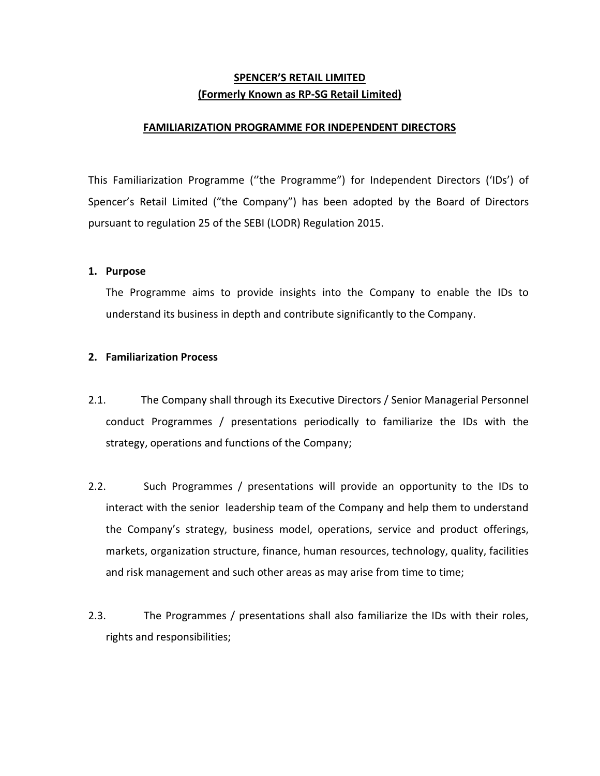# **SPENCER'S RETAIL LIMITED (Formerly Known as RP-SG Retail Limited)**

#### **FAMILIARIZATION PROGRAMME FOR INDEPENDENT DIRECTORS**

This Familiarization Programme (''the Programme") for Independent Directors ('IDs') of Spencer's Retail Limited ("the Company") has been adopted by the Board of Directors pursuant to regulation 25 of the SEBI (LODR) Regulation 2015.

#### **1. Purpose**

The Programme aims to provide insights into the Company to enable the IDs to understand its business in depth and contribute significantly to the Company.

#### **2. Familiarization Process**

- 2.1. The Company shall through its Executive Directors / Senior Managerial Personnel conduct Programmes / presentations periodically to familiarize the IDs with the strategy, operations and functions of the Company;
- 2.2. Such Programmes / presentations will provide an opportunity to the IDs to interact with the senior leadership team of the Company and help them to understand the Company's strategy, business model, operations, service and product offerings, markets, organization structure, finance, human resources, technology, quality, facilities and risk management and such other areas as may arise from time to time;
- 2.3. The Programmes / presentations shall also familiarize the IDs with their roles, rights and responsibilities;